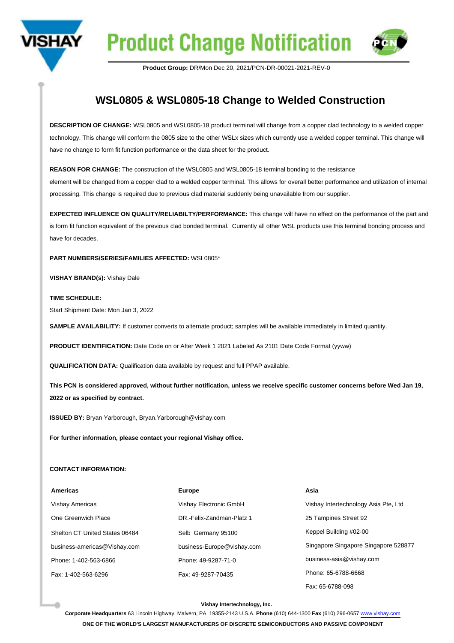



**Product Group:** DR/Mon Dec 20, 2021/PCN-DR-00021-2021-REV-0

## **WSL0805 & WSL0805-18 Change to Welded Construction**

**DESCRIPTION OF CHANGE:** WSL0805 and WSL0805-18 product terminal will change from a copper clad technology to a welded copper technology. This change will conform the 0805 size to the other WSLx sizes which currently use a welded copper terminal. This change will have no change to form fit function performance or the data sheet for the product.

**REASON FOR CHANGE:** The construction of the WSL0805 and WSL0805-18 terminal bonding to the resistance element will be changed from a copper clad to a welded copper terminal. This allows for overall better performance and utilization of internal processing. This change is required due to previous clad material suddenly being unavailable from our supplier.

**EXPECTED INFLUENCE ON QUALITY/RELIABILTY/PERFORMANCE:** This change will have no effect on the performance of the part and is form fit function equivalent of the previous clad bonded terminal. Currently all other WSL products use this terminal bonding process and have for decades.

**PART NUMBERS/SERIES/FAMILIES AFFECTED:** WSL0805\*

**VISHAY BRAND(s):** Vishay Dale

**TIME SCHEDULE:**  Start Shipment Date: Mon Jan 3, 2022

**SAMPLE AVAILABILITY:** If customer converts to alternate product; samples will be available immediately in limited quantity.

**PRODUCT IDENTIFICATION:** Date Code on or After Week 1 2021 Labeled As 2101 Date Code Format (yyww)

**QUALIFICATION DATA:** Qualification data available by request and full PPAP available.

**This PCN is considered approved, without further notification, unless we receive specific customer concerns before Wed Jan 19, 2022 or as specified by contract.**

**ISSUED BY:** Bryan Yarborough, Bryan.Yarborough@vishay.com

**For further information, please contact your regional Vishay office.**

## **CONTACT INFORMATION:**

| <b>Americas</b>                | <b>Europe</b>              | Asia                                 |
|--------------------------------|----------------------------|--------------------------------------|
| <b>Vishay Americas</b>         | Vishay Electronic GmbH     | Vishay Intertechnology Asia Pte, Ltd |
| One Greenwich Place            | DR.-Felix-Zandman-Platz 1  | 25 Tampines Street 92                |
| Shelton CT United States 06484 | Selb Germany 95100         | Keppel Building #02-00               |
| business-americas@Vishay.com   | business-Europe@vishay.com | Singapore Singapore Singapore 528877 |
| Phone: 1-402-563-6866          | Phone: 49-9287-71-0        | business-asia@vishay.com             |
| Fax: 1-402-563-6296            | Fax: 49-9287-70435         | Phone: 65-6788-6668                  |
|                                |                            | Fax: 65-6788-098                     |

## **Vishay Intertechnology, Inc.**

**Corporate Headquarters** 63 Lincoln Highway, Malvern, PA 19355-2143 U.S.A. **Phone** (610) 644-1300 **Fax** (610) 296-0657 [www.vishay.com](https://www.vishay.com) **ONE OF THE WORLD'S LARGEST MANUFACTURERS OF DISCRETE SEMICONDUCTORS AND PASSIVE COMPONENT**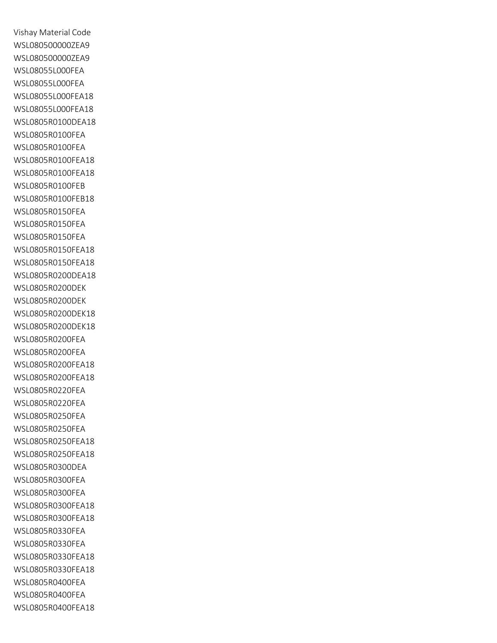Vishay Material Code WSL080500000ZEA9 WSL080500000ZEA9 WSL08055L000FEA WSL08055L000FEA WSL08055L000FEA18 WSL08055L000FEA18 WSL0805R0100DEA18 WSL0805R0100FEA WSL0805R0100FEA WSL0805R0100FEA18 WSL0805R0100FEA18 WSL0805R0100FEB WSL0805R0100FEB18 WSL0805R0150FEA WSL0805R0150FEA WSL0805R0150FEA WSL0805R0150FEA18 WSL0805R0150FEA18 WSL0805R0200DEA18 WSL0805R0200DEK WSL0805R0200DEK WSL0805R0200DEK18 WSL0805R0200DEK18 WSL0805R0200FEA WSL0805R0200FEA WSL0805R0200FEA18 WSL0805R0200FEA18 WSL0805R0220FEA WSL0805R0220FEA WSL0805R0250FEA WSL0805R0250FEA WSL0805R0250FEA18 WSL0805R0250FEA18 WSL0805R0300DEA WSL0805R0300FEA WSL0805R0300FEA WSL0805R0300FEA18 WSL0805R0300FEA18 WSL0805R0330FEA WSL0805R0330FEA WSL0805R0330FEA18 WSL0805R0330FEA18 WSL0805R0400FEA WSL0805R0400FEA WSL0805R0400FEA18